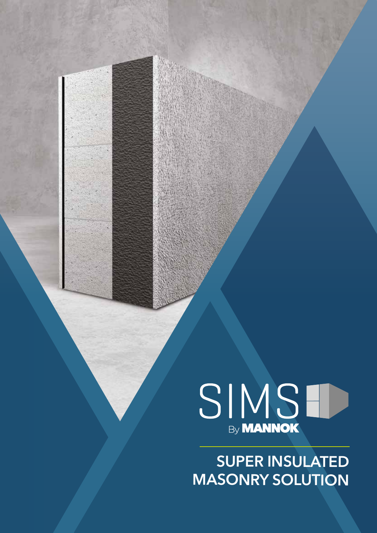

SUPER INSULATED MASONRY SOLUTION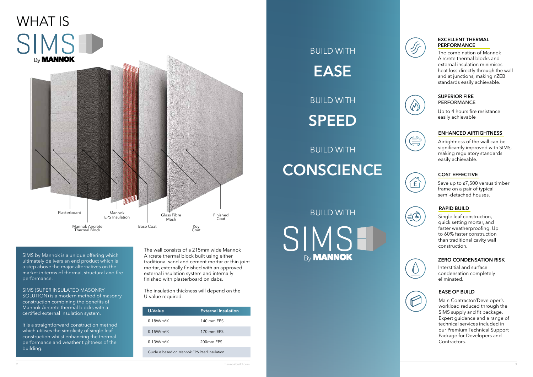

SIMS by Mannok is a unique offering which ultimately delivers an end product which is a step above the major alternatives on the market in terms of thermal, structural and fire performance.

It is a straightforward construction method which utilises the simplicity of single leaf construction whilst enhancing the thermal performance and weather tightness of the building.

SIMS (SUPER INSULATED MASONRY SOLUTION) is a modern method of masonry construction combining the benefits of Mannok Aircrete thermal blocks with a certified external insulation system.

BUILD WITH SIMSH **By MANNOK** 

The wall consists of a 215mm wide Mannok Aircrete thermal block built using either traditional sand and cement mortar or thin joint mortar, externally finished with an approved external insulation system and internally finished with plasterboard on dabs.

The insulation thickness will depend on the U-value required.



| <b>U-Value</b>         | <b>External Insulation</b> |
|------------------------|----------------------------|
| 0.18W/m <sup>2</sup> K | 140 mm FPS                 |
| $0.15W/m^2K$           | 170 mm EPS                 |
| 0.13W/m <sup>2</sup> K | 200mm EPS                  |
|                        |                            |

Guide is based on Mannok EPS Pearl Insulation

The combination of Mannok Aircrete thermal blocks and external insulation minimises heat loss directly through the wall and at junctions, making nZEB standards easily achievable.

#### EXCELLENT THERMAL PERFORMANCE

Up to 4 hours fire resistance easily achievable



Airtightness of the wall can be significantly improved with SIMS, making regulatory standards easily achievable.



 $\bigoplus_{i=1}^n$ 

 $\left(\frac{1}{2}\right)$ 

#### ENHANCED AIRTIGHTNESS

Save up to £7,500 versus timber frame on a pair of typical semi-detached houses.



# **BUILD WITH CONSCIENCE**

#### COST EFFECTIVE

Single leaf construction, quick setting mortar, and faster weatherproofing. Up to 60% faster construction than traditional cavity wall construction.



#### RAPID BUILD

Interstitial and surface condensation completely eliminated.

#### ZERO CONDENSATION RISK

#### EASE OF BUILD

Main Contractor/Developer's workload reduced through the SIMS supply and fit package. Expert guidance and a range of technical services included in our Premium Technical Support Package for Developers and Contractors.

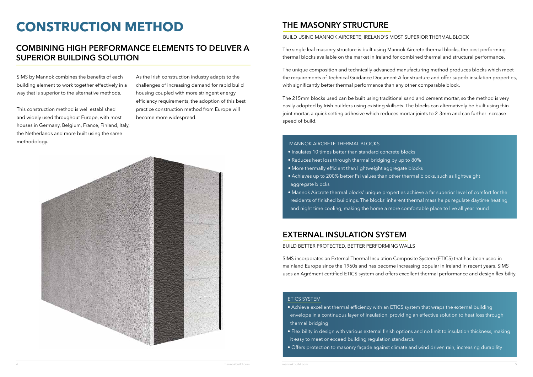# **CONSTRUCTION METHOD**

#### COMBINING HIGH PERFORMANCE ELEMENTS TO DELIVER A SUPERIOR BUILDING SOLUTION

SIMS by Mannok combines the benefits of each building element to work together effectively in a way that is superior to the alternative methods.

This construction method is well established and widely used throughout Europe, with most houses in Germany, Belgium, France, Finland, Italy, the Netherlands and more built using the same methodology.

#### BUILD USING MANNOK AIRCRETE, IRELAND'S MOST SUPERIOR THERMAL BLOCK

### THE MASONRY STRUCTURE

The single leaf masonry structure is built using Mannok Aircrete thermal blocks, the best performing thermal blocks available on the market in Ireland for combined thermal and structural performance.

The unique composition and technically advanced manufacturing method produces blocks which meet the requirements of Technical Guidance Document A for structure and offer superb insulation properties, with significantly better thermal performance than any other comparable block.

The 215mm blocks used can be built using traditional sand and cement mortar, so the method is very easily adopted by Irish builders using existing skillsets. The blocks can alternatively be built using thin joint mortar, a quick setting adhesive which reduces mortar joints to 2-3mm and can further increase speed of build.

#### MANNOK AIRCRETE THERMAL BLOCKS

- Insulates 10 times better than standard concrete blocks
- Reduces heat loss through thermal bridging by up to 80%
- More thermally efficient than lightweight aggregate blocks
- Achieves up to 200% better Psi values than other thermal blocks, such as lightweight aggregate blocks
- Mannok Aircrete thermal blocks' unique properties achieve a far superior level of comfort for the residents of finished buildings. The blocks' inherent thermal mass helps regulate daytime heating and night time cooling, making the home a more comfortable place to live all year round

#### EXTERNAL INSULATION SYSTEM

BUILD BETTER PROTECTED, BETTER PERFORMING WALLS

SIMS incorporates an External Thermal Insulation Composite System (ETICS) that has been used in mainland Europe since the 1960s and has become increasing popular in Ireland in recent years. SIMS uses an Agrément certified ETICS system and offers excellent thermal performance and design flexibility.

#### ETICS SYSTEM

- Achieve excellent thermal efficiency with an ETICS system that wraps the external building envelope in a continuous layer of insulation, providing an effective solution to heat loss through thermal bridging
- it easy to meet or exceed building regulation standards
- Offers protection to masonry façade against climate and wind driven rain, increasing durability

• Flexibility in design with various external finish options and no limit to insulation thickness, making

As the Irish construction industry adapts to the challenges of increasing demand for rapid build housing coupled with more stringent energy efficiency requirements, the adoption of this best practice construction method from Europe will become more widespread.

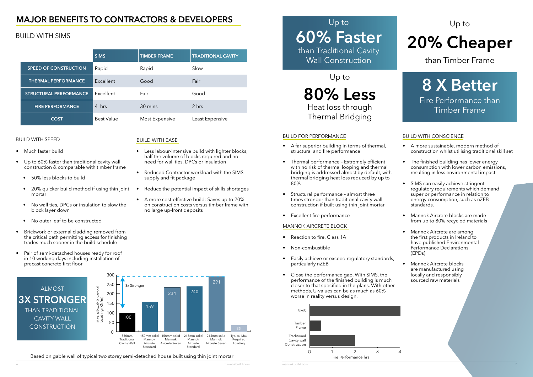6 mannokbuild.com mannokbuild.com 7

### MAJOR BENEFITS TO CONTRACTORS & DEVELOPERS

#### BUILD WITH SIMS

#### BUILD WITH SPEED

- Much faster build
- Up to 60% faster than traditional cavity wall construction & comparable with timber frame
	- 50% less blocks to build
	- 20% quicker build method if using thin joint mortar
	- No wall ties, DPCs or insulation to slow the block layer down
	- No outer leaf to be constructed
- Brickwork or external cladding removed from the critical path permitting access for finishing trades much sooner in the build schedule
- Pair of semi-detached houses ready for roof in 10 working days including installation of precast concrete first floor

#### BUILD WITH EASE

- Less labour-intensive build with lighter blocks, half the volume of blocks required and no need for wall ties, DPCs or insulation
- Reduced Contractor workload with the SIMS supply and fit package
- Reduce the potential impact of skills shortages
- A more cost-effective build: Saves up to 20% on construction costs versus timber frame with no large up-front deposits

#### BUILD FOR PERFORMANCE

- A far superior building in terms of thermal, structural and fire performance
- Thermal performance Extremely efficient with no risk of thermal looping and thermal bridging is addressed almost by default, with thermal bridging heat loss reduced by up to 80%
- Structural performance almost three times stronger than traditional cavity wall construction if built using thin joint mortar
- Excellent fire performance

#### ALMOST 3X STRONGER THAN TRADITIONAL CAVITY WALL **CONSTRUCTION**

#### MANNOK AIRCRETE BLOCK

- Reaction to fire, Class 1A
- Non-combustible
- Easily achieve or exceed regulatory standards, particularly nZEB
- Close the performance gap. With SIMS, the performance of the finished building is much closer to that specified in the plans. With other methods, U-values can be as much as 60% worse in reality versus design.

#### BUILD WITH CONSCIENCE

- A more sustainable, modern method of construction whilst utilising traditional skill set
- The finished building has lower energy consumption with lower carbon emissions, resulting in less environmental impact
- SIMS can easily achieve stringent regulatory requirements which demand superior performance in relation to energy consumption, such as nZEB standards.
- Mannok Aircrete blocks are made from up to 80% recycled materials
- Mannok Aircrete are among the first products in Ireland to have published Environmental Performance Declarations (EPDs)
- Mannok Aircrete blocks are manufactured using locally and responsibly sourced raw materials

### Up to 60% Faster than Traditional Cavity Wall Construction

#### Up to

# 20% Cheaper

than Timber Frame



# 8 X Better

Fire Performance than Timber Frame

|                               | <b>SIMS</b>       | <b>TIMBER FRAME</b> | <b>TRADITIONAL CAVITY</b> |
|-------------------------------|-------------------|---------------------|---------------------------|
| <b>SPEED OF CONSTRUCTION</b>  | Rapid             | Rapid               | Slow                      |
| <b>THERMAL PERFORMANCE</b>    | Excellent         | Good                | Fair                      |
| <b>STRUCTURAL PERFORMANCE</b> | Excellent         | Fair                | Good                      |
| <b>FIRE PERFORMANCE</b>       | 4 hrs             | 30 mins             | 2 hrs                     |
| <b>COST</b>                   | <b>Best Value</b> | Most Expensive      | Least Expensive           |

#### Based on gable wall of typical two storey semi-detached house built using thin joint mortar



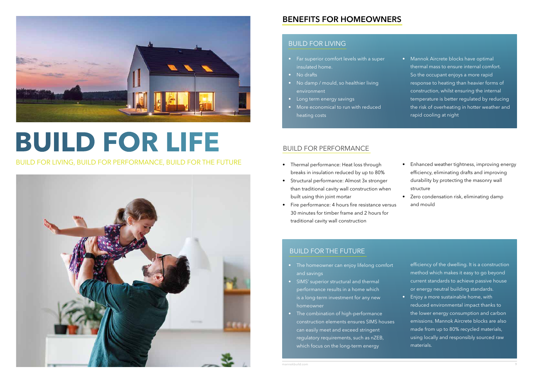

- Far superior comfort levels with a super insulated home.
- No drafts
- No damp / mould, so healthier living environment
- Long term energy savings
- More economical to run with reduced heating costs

- Thermal performance: Heat loss through breaks in insulation reduced by up to 80%
- Structural performance: Almost 3x stronger than traditional cavity wall construction when built using thin joint mortar
- Fire performance: 4 hours fire resistance versus 30 minutes for timber frame and 2 hours for traditional cavity wall construction



# **BUILD FOR LIFE**

#### BUILD FOR LIVING, BUILD FOR PERFORMANCE, BUILD FOR THE FUTURE

• Mannok Aircrete blocks have optimal thermal mass to ensure internal comfort. So the occupant enjoys a more rapid response to heating than heavier forms of construction, whilst ensuring the internal temperature is better regulated by reducing the risk of overheating in hotter weather and rapid cooling at night

- The homeowner can enjoy lifelong comfort and savings
- SIMS' superior structural and thermal performance results in a home which is a long-term investment for any new homeowner
- The combination of high-performance construction elements ensures SIMS houses can easily meet and exceed stringent regulatory requirements, such as nZEB, which focus on the long-term energy

- Enhanced weather tightness, improving energy efficiency, eliminating drafts and improving durability by protecting the masonry wall structure
- Zero condensation risk, eliminating damp and mould

efficiency of the dwelling. It is a construction method which makes it easy to go beyond current standards to achieve passive house or energy neutral building standards. • Enjoy a more sustainable home, with reduced environmental impact thanks to the lower energy consumption and carbon emissions. Mannok Aircrete blocks are also made from up to 80% recycled materials, using locally and responsibly sourced raw materials.

#### BUILD FOR LIVING

#### BUILD FOR PERFORMANCE

#### BUILD FOR THE FUTURE

#### BENEFITS FOR HOMEOWNERS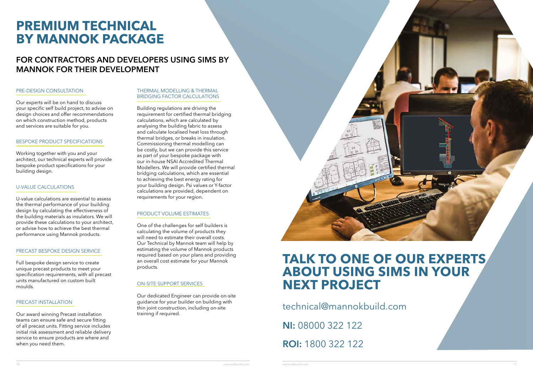## **TALK TO ONE OF OUR EXPERTS ABOUT USING SIMS IN YOUR NEXT PROJECT**

technical@mannokbuild.com

## **PREMIUM TECHNICAL BY MANNOK PACKAGE**

### FOR CONTRACTORS AND DEVELOPERS USING SIMS BY MANNOK FOR THEIR DEVELOPMENT

ROI: 1800 322 122

NI: 08000 322 122

#### PRE-DESIGN CONSULTATION

Our experts will be on hand to discuss your specific self build project, to advise on design choices and offer recommendations on which construction method, products and services are suitable for you.

#### BESPOKE PRODUCT SPECIFICATIONS

Working together with you and your architect, our technical experts will provide bespoke product specifications for your building design.

#### U-VALUE CALCULATIONS

U-value calculations are essential to assess the thermal performance of your building design by calculating the effectiveness of the building materials as insulators. We will provide these calculations to your architect, or advise how to achieve the best thermal performance using Mannok products.

#### THERMAL MODELLING & THERMAL BRIDGING FACTOR CALCULATIONS

Building regulations are driving the requirement for certified thermal bridging calculations, which are calculated by analysing the building fabric to assess and calculate localised heat loss through thermal bridges, or breaks in insulation. Commissioning thermal modelling can be costly, but we can provide this service as part of your bespoke package with our in-house NSAI Accredited Thermal Modellers. We will provide certified thermal bridging calculations, which are essential to achieving the best energy rating for your building design. Psi values or Y-factor calculations are provided, dependent on requirements for your region.

#### PRECAST BESPOKE DESIGN SERVICE

Full bespoke design service to create unique precast products to meet your specification requirements, with all precast units manufactured on custom built moulds.

#### PRODUCT VOLUME ESTIMATES

One of the challenges for self builders is calculating the volume of products they will need to estimate their overall costs. Our Technical by Mannok team will help by estimating the volume of Mannok products required based on your plans and providing an overall cost estimate for your Mannok products.

#### PRECAST INSTALLATION

Our award winning Precast installation teams can ensure safe and secure fitting of all precast units. Fitting service includes initial risk assessment and reliable delivery service to ensure products are where and when you need them.

#### ON-SITE SUPPORT SERVICES

Our dedicated Engineer can provide on-site guidance for your builder on building with thin joint construction, including on-site training if required.